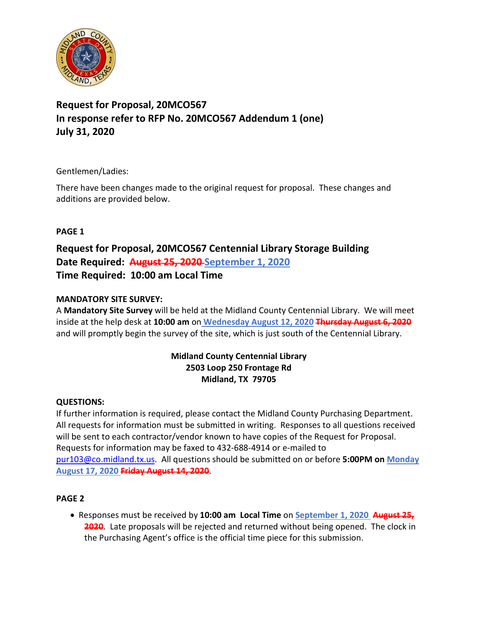

# **Request for Proposal, 20MCO567 In response refer to RFP No. 20MCO567 Addendum 1 (one) July 31, 2020**

Gentlemen/Ladies:

There have been changes made to the original request for proposal. These changes and additions are provided below.

# **PAGE 1**

**Request for Proposal, 20MCO567 Centennial Library Storage Building Date Required: August 25, 2020 September 1, 2020 Time Required: 10:00 am Local Time**

# **MANDATORY SITE SURVEY:**

A **Mandatory Site Survey** will be held at the Midland County Centennial Library. We will meet inside at the help desk at **10:00 am** on **Wednesday August 12, 2020 Thursday August 6, 2020** and will promptly begin the survey of the site, which is just south of the Centennial Library.

#### **Midland County Centennial Library 2503 Loop 250 Frontage Rd Midland, TX 79705**

## **QUESTIONS:**

If further information is required, please contact the Midland County Purchasing Department. All requests for information must be submitted in writing. Responses to all questions received will be sent to each contractor/vendor known to have copies of the Request for Proposal. Requests for information may be faxed to 432-688-4914 or e-mailed to [pur103@co.midland.tx.us.](mailto:pur103@co.midland.tx.us) All questions should be submitted on or before **5:00PM on Monday August 17, 2020 Friday August 14, 2020**.

## **PAGE 2**

• Responses must be received by **10:00 am Local Time** on **September 1, 2020 August 25, 2020**. Late proposals will be rejected and returned without being opened. The clock in the Purchasing Agent's office is the official time piece for this submission.